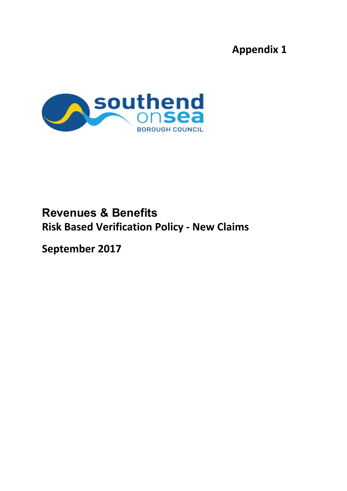# **Appendix 1**



# **Revenues & Benefits Risk Based Verification Policy - New Claims**

**September 2017**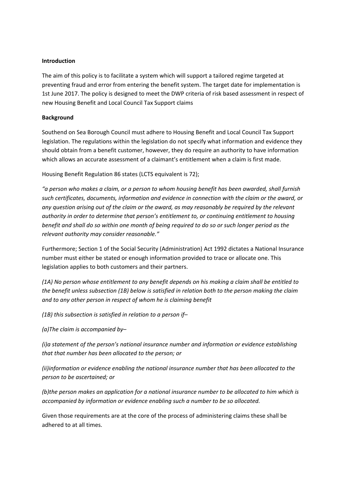### **Introduction**

The aim of this policy is to facilitate a system which will support a tailored regime targeted at preventing fraud and error from entering the benefit system. The target date for implementation is 1st June 2017. The policy is designed to meet the DWP criteria of risk based assessment in respect of new Housing Benefit and Local Council Tax Support claims

## **Background**

Southend on Sea Borough Council must adhere to Housing Benefit and Local Council Tax Support legislation. The regulations within the legislation do not specify what information and evidence they should obtain from a benefit customer, however, they do require an authority to have information which allows an accurate assessment of a claimant's entitlement when a claim is first made.

Housing Benefit Regulation 86 states (LCTS equivalent is 72);

*"a person who makes a claim, or a person to whom housing benefit has been awarded, shall furnish such certificates, documents, information and evidence in connection with the claim or the award, or any question arising out of the claim or the award, as may reasonably be required by the relevant authority in order to determine that person's entitlement to, or continuing entitlement to housing* benefit and shall do so within one month of being required to do so or such longer period as the *relevant authority may consider reasonable."*

Furthermore; Section 1 of the Social Security (Administration) Act 1992 dictates a National Insurance number must either be stated or enough information provided to trace or allocate one. This legislation applies to both customers and their partners.

*(1A) No person whose entitlement to any benefit depends on his making a claim shall be entitled to the benefit unless subsection (1B) below is satisfied in relation both to the person making the claim and to any other person in respect of whom he is claiming benefit*

*(1B) this subsection is satisfied in relation to a person if–*

*(a)The claim is accompanied by–*

*(i)a statement of the person's national insurance number and information or evidence establishing that that number has been allocated to the person; or*

*(ii)information or evidence enabling the national insurance number that has been allocated to the person to be ascertained; or*

*(b)the person makes an application for a national insurance number to be allocated to him which is accompanied by information or evidence enabling such a number to be so allocated.*

Given those requirements are at the core of the process of administering claims these shall be adhered to at all times.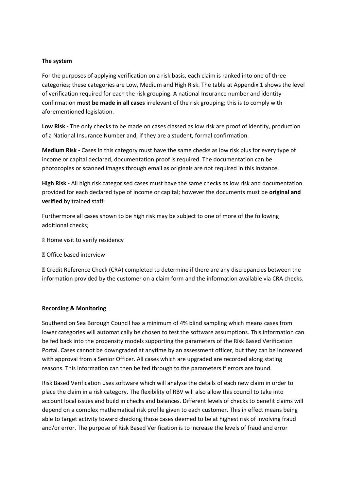#### **The system**

For the purposes of applying verification on a risk basis, each claim is ranked into one of three categories; these categories are Low, Medium and High Risk. The table at Appendix 1 shows the level of verification required for each the risk grouping. A national Insurance number and identity confirmation **must be made in all cases** irrelevant of the risk grouping; this is to comply with aforementioned legislation.

**Low Risk -** The only checks to be made on cases classed as low risk are proof of identity, production of a National Insurance Number and, if they are a student, formal confirmation.

**Medium Risk -** Cases in this category must have the same checks as low risk plus for every type of income or capital declared, documentation proof is required. The documentation can be photocopies or scanned images through email as originals are not required in this instance.

**High Risk -** All high risk categorised cases must have the same checks as low risk and documentation provided for each declared type of income or capital; however the documents must be **original and verified** by trained staff.

Furthermore all cases shown to be high risk may be subject to one of more of the following additional checks;

- **Z** Home visit to verify residency
- Office based interview

 Credit Reference Check (CRA) completed to determine if there are any discrepancies between the information provided by the customer on a claim form and the information available via CRA checks.

#### **Recording & Monitoring**

Southend on Sea Borough Council has a minimum of 4% blind sampling which means cases from lower categories will automatically be chosen to test the software assumptions. This information can be fed back into the propensity models supporting the parameters of the Risk Based Verification Portal. Cases cannot be downgraded at anytime by an assessment officer, but they can be increased with approval from a Senior Officer. All cases which are upgraded are recorded along stating reasons. This information can then be fed through to the parameters if errors are found.

Risk Based Verification uses software which will analyse the details of each new claim in order to place the claim in a risk category. The flexibility of RBV will also allow this council to take into account local issues and build in checks and balances. Different levels of checks to benefit claims will depend on a complex mathematical risk profile given to each customer. This in effect means being able to target activity toward checking those cases deemed to be at highest risk of involving fraud and/or error. The purpose of Risk Based Verification is to increase the levels of fraud and error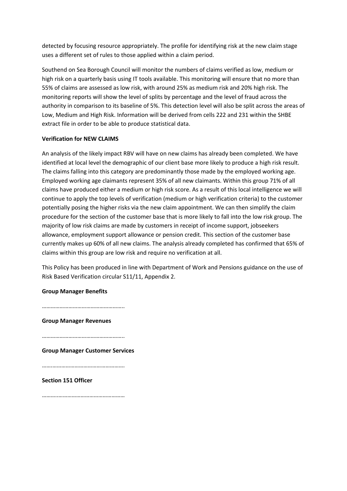detected by focusing resource appropriately. The profile for identifying risk at the new claim stage uses a different set of rules to those applied within a claim period.

Southend on Sea Borough Council will monitor the numbers of claims verified as low, medium or high risk on a quarterly basis using IT tools available. This monitoring will ensure that no more than 55% of claims are assessed as low risk, with around 25% as medium risk and 20% high risk. The monitoring reports will show the level of splits by percentage and the level of fraud across the authority in comparison to its baseline of 5%. This detection level will also be split across the areas of Low, Medium and High Risk. Information will be derived from cells 222 and 231 within the SHBE extract file in order to be able to produce statistical data.

## **Verification for NEW CLAIMS**

An analysis of the likely impact RBV will have on new claims has already been completed. We have identified at local level the demographic of our client base more likely to produce a high risk result. The claims falling into this category are predominantly those made by the employed working age. Employed working age claimants represent 35% of all new claimants. Within this group 71% of all claims have produced either a medium or high risk score. As a result of this local intelligence we will continue to apply the top levels of verification (medium or high verification criteria) to the customer potentially posing the higher risks via the new claim appointment. We can then simplify the claim procedure for the section of the customer base that is more likely to fall into the low risk group. The majority of low risk claims are made by customers in receipt of income support, jobseekers allowance, employment support allowance or pension credit. This section of the customer base currently makes up 60% of all new claims. The analysis already completed has confirmed that 65% of claims within this group are low risk and require no verification at all.

This Policy has been produced in line with Department of Work and Pensions guidance on the use of Risk Based Verification circular S11/11, Appendix 2.

#### **Group Manager Benefits**

…………………………………………………

**Group Manager Revenues**

………………………………………………..

**Group Manager Customer Services**

………………………………………………

**Section 151 Officer**

………..………………………………………